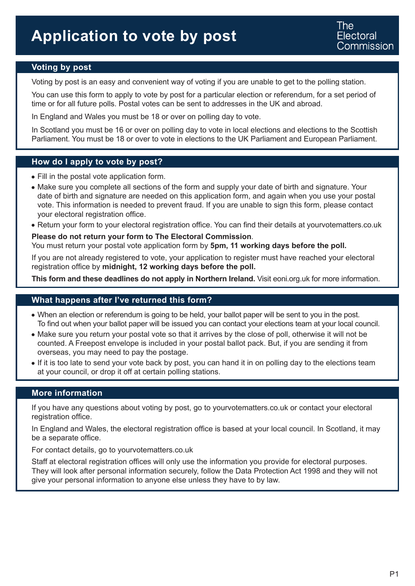### **Voting by post**

Voting by post is an easy and convenient way of voting if you are unable to get to the polling station.

You can use this form to apply to vote by post for a particular election or referendum, for a set period of time or for all future polls. Postal votes can be sent to addresses in the UK and abroad.

In England and Wales you must be 18 or over on polling day to vote.

In Scotland you must be 16 or over on polling day to vote in local elections and elections to the Scottish Parliament. You must be 18 or over to vote in elections to the UK Parliament and European Parliament.

#### **How do I apply to vote by post?**

- Fill in the postal vote application form.
- Make sure you complete all sections of the form and supply your date of birth and signature. Your date of birth and signature are needed on this application form, and again when you use your postal vote. This information is needed to prevent fraud. If you are unable to sign this form, please contact your electoral registration office.
- Return your form to your electoral registration office. You can find their details at yourvotematters.co.uk

**Please do not return your form to The Electoral Commission**. You must return your postal vote application form by **5pm, 11 working days before the poll.**

If you are not already registered to vote, your application to register must have reached your electoral registration office by **midnight, 12 working days before the poll.**

**This form and these deadlines do not apply in Northern Ireland.** Visit eoni.org.uk for more information.

#### **What happens after I've returned this form?**

- When an election or referendum is going to be held, your ballot paper will be sent to you in the post. To find out when your ballot paper will be issued you can contact your elections team at your local council.
- Make sure you return your postal vote so that it arrives by the close of poll, otherwise it will not be counted. A Freepost envelope is included in your postal ballot pack. But, if you are sending it from overseas, you may need to pay the postage.
- If it is too late to send your vote back by post, you can hand it in on polling day to the elections team at your council, or drop it off at certain polling stations.

#### **More information**

If you have any questions about voting by post, go to yourvotematters.co.uk or contact your electoral registration office.

In England and Wales, the electoral registration office is based at your local council. In Scotland, it may be a separate office.

For contact details, go to yourvotematters.co.uk

Staff at electoral registration offices will only use the information you provide for electoral purposes. They will look after personal information securely, follow the Data Protection Act 1998 and they will not give your personal information to anyone else unless they have to by law.